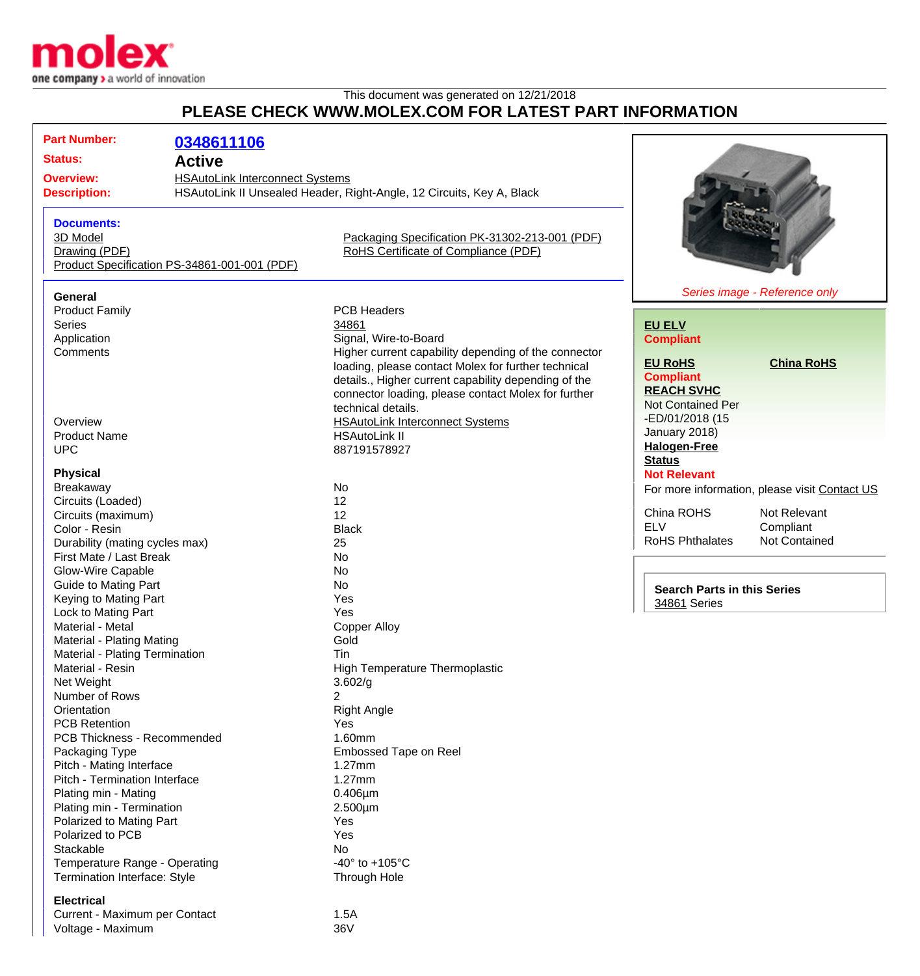

## This document was generated on 12/21/2018 **PLEASE CHECK WWW.MOLEX.COM FOR LATEST PART INFORMATION**

| <b>Part Number:</b>                                | 0348611106                                                                                                      |                                                                |                                    |                                               |
|----------------------------------------------------|-----------------------------------------------------------------------------------------------------------------|----------------------------------------------------------------|------------------------------------|-----------------------------------------------|
| <b>Status:</b>                                     | <b>Active</b>                                                                                                   |                                                                |                                    |                                               |
| <b>Overview:</b>                                   |                                                                                                                 |                                                                |                                    |                                               |
| <b>Description:</b>                                | <b>HSAutoLink Interconnect Systems</b><br>HSAutoLink II Unsealed Header, Right-Angle, 12 Circuits, Key A, Black |                                                                |                                    |                                               |
|                                                    |                                                                                                                 |                                                                |                                    |                                               |
| <b>Documents:</b>                                  |                                                                                                                 |                                                                |                                    |                                               |
| 3D Model                                           |                                                                                                                 | Packaging Specification PK-31302-213-001 (PDF)                 |                                    |                                               |
| Drawing (PDF)                                      |                                                                                                                 | RoHS Certificate of Compliance (PDF)                           |                                    |                                               |
|                                                    | Product Specification PS-34861-001-001 (PDF)                                                                    |                                                                |                                    |                                               |
|                                                    |                                                                                                                 |                                                                |                                    |                                               |
| <b>General</b>                                     |                                                                                                                 |                                                                |                                    | Series image - Reference only                 |
| <b>Product Family</b>                              |                                                                                                                 | <b>PCB Headers</b>                                             |                                    |                                               |
| <b>Series</b>                                      |                                                                                                                 | 34861                                                          | <b>EU ELV</b>                      |                                               |
| Application                                        |                                                                                                                 | Signal, Wire-to-Board                                          | <b>Compliant</b>                   |                                               |
| Comments                                           |                                                                                                                 | Higher current capability depending of the connector           | <b>EU RoHS</b>                     | <b>China RoHS</b>                             |
|                                                    |                                                                                                                 | loading, please contact Molex for further technical            | <b>Compliant</b>                   |                                               |
|                                                    |                                                                                                                 | details., Higher current capability depending of the           | <b>REACH SVHC</b>                  |                                               |
|                                                    |                                                                                                                 | connector loading, please contact Molex for further            | <b>Not Contained Per</b>           |                                               |
|                                                    |                                                                                                                 | technical details.                                             | -ED/01/2018 (15                    |                                               |
| Overview<br><b>Product Name</b>                    |                                                                                                                 | <b>HSAutoLink Interconnect Systems</b><br><b>HSAutoLink II</b> | January 2018)                      |                                               |
| <b>UPC</b>                                         |                                                                                                                 | 887191578927                                                   | <b>Halogen-Free</b>                |                                               |
|                                                    |                                                                                                                 |                                                                | <b>Status</b>                      |                                               |
| <b>Physical</b>                                    |                                                                                                                 |                                                                | <b>Not Relevant</b>                |                                               |
| Breakaway                                          |                                                                                                                 | No                                                             |                                    | For more information, please visit Contact US |
| Circuits (Loaded)                                  |                                                                                                                 | 12                                                             |                                    |                                               |
| Circuits (maximum)                                 |                                                                                                                 | 12                                                             | China ROHS                         | Not Relevant                                  |
| Color - Resin                                      |                                                                                                                 | <b>Black</b>                                                   | <b>ELV</b>                         | Compliant                                     |
| Durability (mating cycles max)                     |                                                                                                                 | 25                                                             | <b>RoHS Phthalates</b>             | Not Contained                                 |
| First Mate / Last Break                            |                                                                                                                 | No                                                             |                                    |                                               |
| Glow-Wire Capable                                  |                                                                                                                 | <b>No</b>                                                      |                                    |                                               |
| <b>Guide to Mating Part</b>                        |                                                                                                                 | <b>No</b>                                                      | <b>Search Parts in this Series</b> |                                               |
| Keying to Mating Part                              |                                                                                                                 | Yes                                                            | 34861 Series                       |                                               |
| Lock to Mating Part                                |                                                                                                                 | Yes                                                            |                                    |                                               |
| Material - Metal                                   |                                                                                                                 | <b>Copper Alloy</b>                                            |                                    |                                               |
| Material - Plating Mating                          |                                                                                                                 | Gold                                                           |                                    |                                               |
| Material - Plating Termination<br>Material - Resin |                                                                                                                 | Tin<br><b>High Temperature Thermoplastic</b>                   |                                    |                                               |
| Net Weight                                         |                                                                                                                 | 3.602/g                                                        |                                    |                                               |
| Number of Rows                                     |                                                                                                                 | 2                                                              |                                    |                                               |
| Orientation                                        |                                                                                                                 | <b>Right Angle</b>                                             |                                    |                                               |
| <b>PCB Retention</b>                               |                                                                                                                 | Yes                                                            |                                    |                                               |
| PCB Thickness - Recommended                        |                                                                                                                 | 1.60mm                                                         |                                    |                                               |
| Packaging Type                                     |                                                                                                                 | Embossed Tape on Reel                                          |                                    |                                               |
| Pitch - Mating Interface                           |                                                                                                                 | $1.27$ mm                                                      |                                    |                                               |
| Pitch - Termination Interface                      |                                                                                                                 | 1.27mm                                                         |                                    |                                               |
| Plating min - Mating                               |                                                                                                                 | $0.406 \mu m$                                                  |                                    |                                               |
| Plating min - Termination                          |                                                                                                                 | $2.500 \mu m$                                                  |                                    |                                               |
| Polarized to Mating Part                           |                                                                                                                 | Yes                                                            |                                    |                                               |
| Polarized to PCB                                   |                                                                                                                 | Yes                                                            |                                    |                                               |
| Stackable                                          |                                                                                                                 | No                                                             |                                    |                                               |
| Temperature Range - Operating                      |                                                                                                                 | -40 $\degree$ to +105 $\degree$ C                              |                                    |                                               |
| Termination Interface: Style                       |                                                                                                                 | Through Hole                                                   |                                    |                                               |
| <b>Electrical</b>                                  |                                                                                                                 |                                                                |                                    |                                               |
| Current - Maximum per Contact                      |                                                                                                                 | 1.5A                                                           |                                    |                                               |
| Voltage - Maximum                                  |                                                                                                                 | 36V                                                            |                                    |                                               |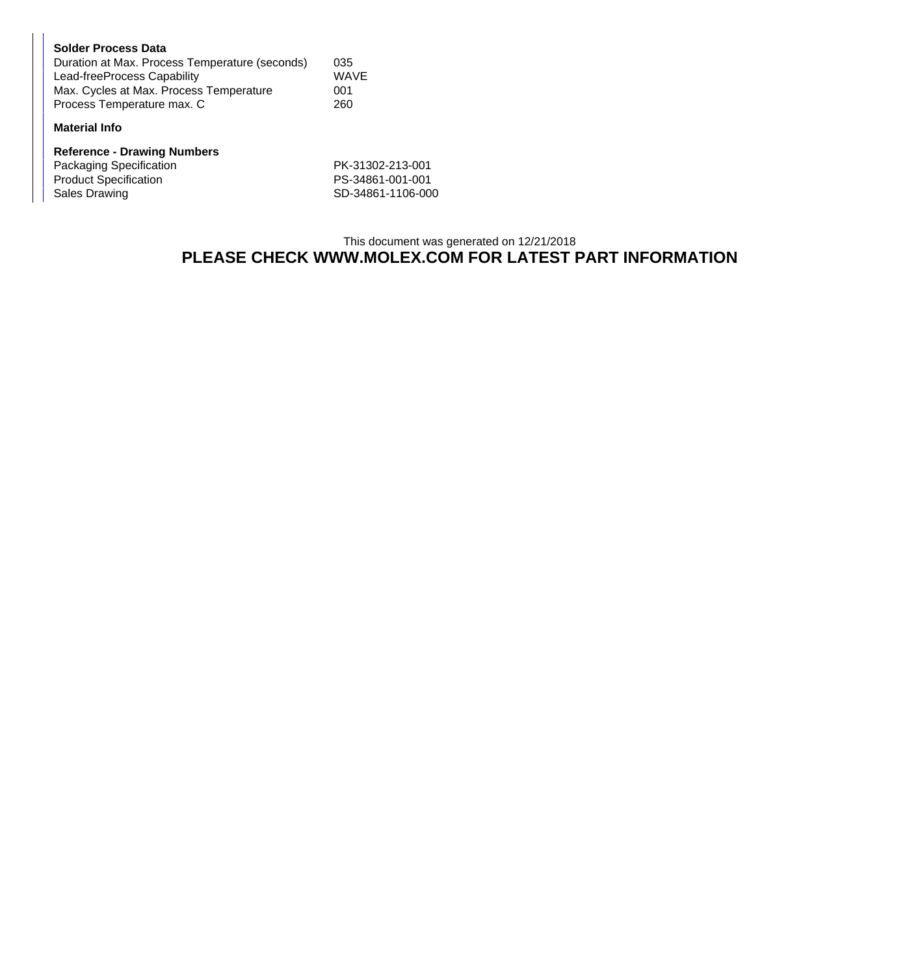| <b>Solder Process Data</b>                     |             |
|------------------------------------------------|-------------|
| Duration at Max. Process Temperature (seconds) | 035         |
| Lead-freeProcess Capability                    | <b>WAVE</b> |
| Max. Cycles at Max. Process Temperature        | 001         |
| Process Temperature max. C                     | 260         |

## **Material Info**

| <b>Reference - Drawing Numbers</b> |                   |
|------------------------------------|-------------------|
| Packaging Specification            | PK-31302-213-001  |
| <b>Product Specification</b>       | PS-34861-001-001  |
| Sales Drawing                      | SD-34861-1106-000 |

## This document was generated on 12/21/2018 **PLEASE CHECK WWW.MOLEX.COM FOR LATEST PART INFORMATION**